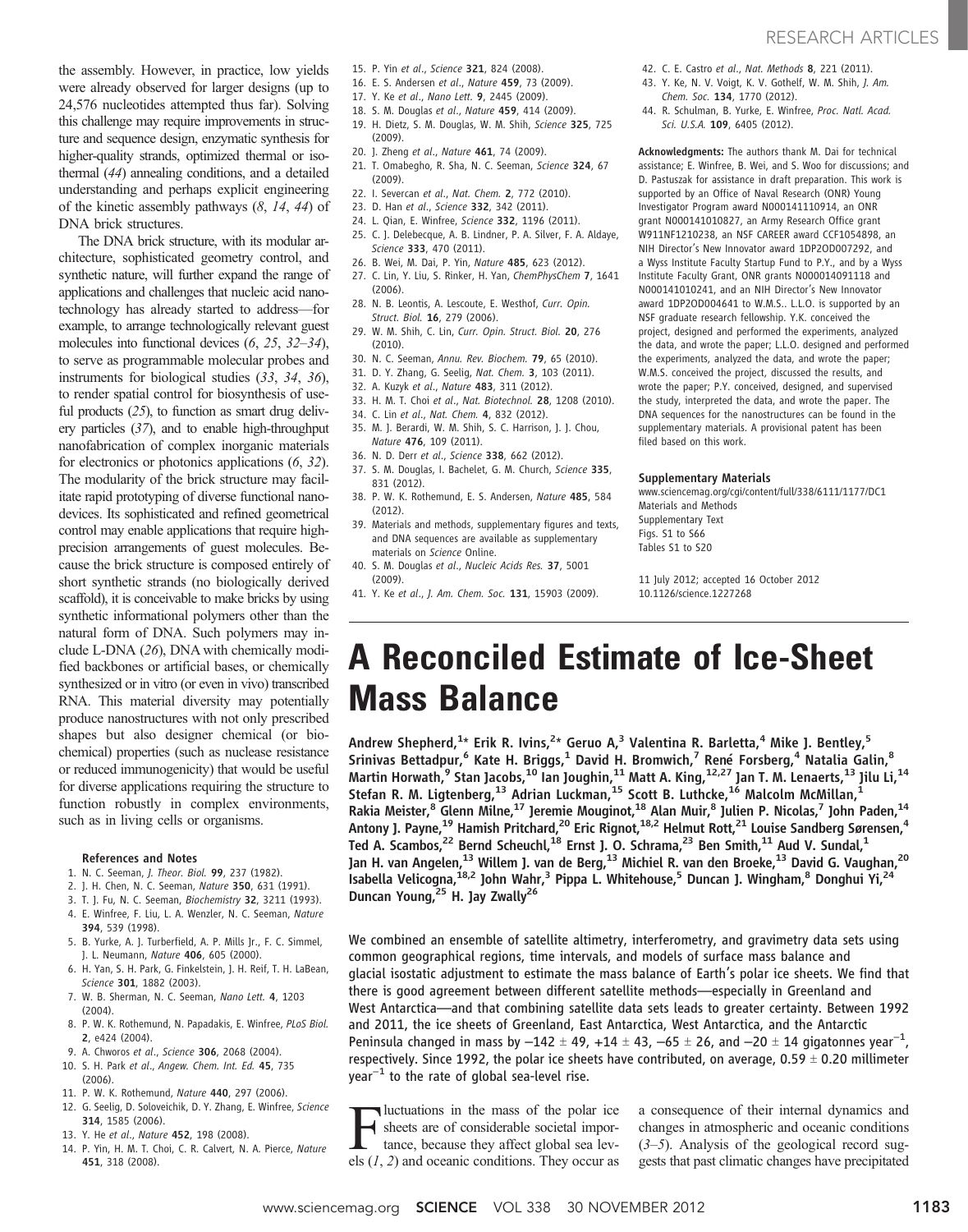the assembly. However, in practice, low yields were already observed for larger designs (up to 24,576 nucleotides attempted thus far). Solving this challenge may require improvements in structure and sequence design, enzymatic synthesis for higher-quality strands, optimized thermal or isothermal (44) annealing conditions, and a detailed understanding and perhaps explicit engineering of the kinetic assembly pathways  $(8, 14, 44)$  of DNA brick structures.

The DNA brick structure, with its modular architecture, sophisticated geometry control, and synthetic nature, will further expand the range of applications and challenges that nucleic acid nanotechnology has already started to address—for example, to arrange technologically relevant guest molecules into functional devices (6, 25, 32–34), to serve as programmable molecular probes and instruments for biological studies (33, 34, 36), to render spatial control for biosynthesis of useful products (25), to function as smart drug delivery particles (37), and to enable high-throughput nanofabrication of complex inorganic materials for electronics or photonics applications (6, 32). The modularity of the brick structure may facilitate rapid prototyping of diverse functional nanodevices. Its sophisticated and refined geometrical control may enable applications that require highprecision arrangements of guest molecules. Because the brick structure is composed entirely of short synthetic strands (no biologically derived scaffold), it is conceivable to make bricks by using synthetic informational polymers other than the natural form of DNA. Such polymers may include L-DNA (26), DNA with chemically modified backbones or artificial bases, or chemically synthesized or in vitro (or even in vivo) transcribed RNA. This material diversity may potentially produce nanostructures with not only prescribed shapes but also designer chemical (or biochemical) properties (such as nuclease resistance or reduced immunogenicity) that would be useful for diverse applications requiring the structure to function robustly in complex environments, such as in living cells or organisms.

### References and Notes

- 1. N. C. Seeman, J. Theor. Biol. 99, 237 (1982).
- 2. J. H. Chen, N. C. Seeman, Nature 350, 631 (1991).
- 3. T. J. Fu, N. C. Seeman, Biochemistry 32, 3211 (1993).
- 4. E. Winfree, F. Liu, L. A. Wenzler, N. C. Seeman, Nature 394, 539 (1998).
- 5. B. Yurke, A. J. Turberfield, A. P. Mills Jr., F. C. Simmel, J. L. Neumann, Nature 406, 605 (2000).
- 6. H. Yan, S. H. Park, G. Finkelstein, J. H. Reif, T. H. LaBean, Science 301, 1882 (2003).
- 7. W. B. Sherman, N. C. Seeman, Nano Lett. 4, 1203 (2004).
- 8. P. W. K. Rothemund, N. Papadakis, E. Winfree, PLoS Biol. 2, e424 (2004).
- 9. A. Chworos et al., Science 306, 2068 (2004).
- 10. S. H. Park et al., Angew. Chem. Int. Ed. 45, 735
- (2006).
- 11. P. W. K. Rothemund, Nature 440, 297 (2006).
- 12. G. Seelig, D. Soloveichik, D. Y. Zhang, E. Winfree, Science 314, 1585 (2006).
- 13. Y. He et al., Nature 452, 198 (2008).
- 14. P. Yin, H. M. T. Choi, C. R. Calvert, N. A. Pierce, Nature 451, 318 (2008).
- 15. P. Yin et al., Science 321, 824 (2008).
- 16. E. S. Andersen et al., Nature 459, 73 (2009).
- 17. Y. Ke et al., Nano Lett. 9, 2445 (2009).
- 18. S. M. Douglas et al., Nature 459, 414 (2009).
- 19. H. Dietz, S. M. Douglas, W. M. Shih, Science 325, 725 (2009).
- 20. J. Zheng et al., Nature 461, 74 (2009).
- 21. T. Omabegho, R. Sha, N. C. Seeman, Science 324, 67 (2009).
- 22. I. Severcan et al., Nat. Chem. 2, 772 (2010).
- 23. D. Han et al., Science 332, 342 (2011).
- 24. L. Qian, E. Winfree, Science 332, 1196 (2011). 25. C. J. Delebecque, A. B. Lindner, P. A. Silver, F. A. Aldaye, Science 333, 470 (2011).
- 26. B. Wei, M. Dai, P. Yin, Nature 485, 623 (2012).
- 27. C. Lin, Y. Liu, S. Rinker, H. Yan, ChemPhysChem 7, 1641 (2006).
- 28. N. B. Leontis, A. Lescoute, E. Westhof, Curr. Opin. Struct. Biol. 16, 279 (2006).
- 29. W. M. Shih, C. Lin, Curr. Opin. Struct. Biol. 20, 276 (2010).
- 30. N. C. Seeman, Annu. Rev. Biochem. 79, 65 (2010).
- 31. D. Y. Zhang, G. Seelig, Nat. Chem. 3, 103 (2011).
- 32. A. Kuzyk et al., Nature 483, 311 (2012).
- 33. H. M. T. Choi et al., Nat. Biotechnol. 28, 1208 (2010).
- 34. C. Lin et al., Nat. Chem. 4, 832 (2012).
- 35. M. J. Berardi, W. M. Shih, S. C. Harrison, J. J. Chou, Nature 476, 109 (2011).
- 36. N. D. Derr et al., Science 338, 662 (2012). 37. S. M. Douglas, I. Bachelet, G. M. Church, Science 335, 831 (2012).
- 38. P. W. K. Rothemund, E. S. Andersen, Nature 485, 584 (2012).
- 39. Materials and methods, supplementary figures and texts, and DNA sequences are available as supplementary materials on Science Online.
- 40. S. M. Douglas et al., Nucleic Acids Res. 37, 5001 (2009).
- 41. Y. Ke et al., J. Am. Chem. Soc. 131, 15903 (2009).
- 42. C. E. Castro et al., Nat. Methods 8, 221 (2011).
- 43. Y. Ke, N. V. Voigt, K. V. Gothelf, W. M. Shih, J. Am. Chem. Soc. 134, 1770 (2012).
- 44. R. Schulman, B. Yurke, E. Winfree, Proc. Natl. Acad. Sci. U.S.A. 109, 6405 (2012).

Acknowledgments: The authors thank M. Dai for technical assistance; E. Winfree, B. Wei, and S. Woo for discussions; and D. Pastuszak for assistance in draft preparation. This work is supported by an Office of Naval Research (ONR) Young Investigator Program award N000141110914, an ONR grant N000141010827, an Army Research Office grant W911NF1210238, an NSF CAREER award CCF1054898, an NIH Director's New Innovator award 1DP2OD007292, and a Wyss Institute Faculty Startup Fund to P.Y., and by a Wyss Institute Faculty Grant, ONR grants N000014091118 and N000141010241, and an NIH Director's New Innovator award 1DP2OD004641 to W.M.S.. L.L.O. is supported by an NSF graduate research fellowship. Y.K. conceived the project, designed and performed the experiments, analyzed the data, and wrote the paper; L.L.O. designed and performed the experiments, analyzed the data, and wrote the paper; W.M.S. conceived the project, discussed the results, and wrote the paper; P.Y. conceived, designed, and supervised the study, interpreted the data, and wrote the paper. The DNA sequences for the nanostructures can be found in the supplementary materials. A provisional patent has been filed based on this work.

#### Supplementary Materials

www.sciencemag.org/cgi/content/full/338/6111/1177/DC1 Materials and Methods Supplementary Text Figs. S1 to S66 Tables S1 to S20

11 July 2012; accepted 16 October 2012 10.1126/science.1227268

# A Reconciled Estimate of Ice-Sheet Mass Balance

Andrew Shepherd,<sup>1</sup>\* Erik R. Ivins,<sup>2</sup>\* Geruo A,<sup>3</sup> Valentina R. Barletta,<sup>4</sup> Mike J. Bentley,<sup>5</sup> Srinivas Bettadpur,<sup>6</sup> Kate H. Briggs,<sup>1</sup> David H. Bromwich,<sup>7</sup> René Forsberg,<sup>4</sup> Natalia Galin,<sup>8</sup> Martin Horwath,<sup>9</sup> Stan Jacobs,<sup>10</sup> Ian Joughin,<sup>11</sup> Matt A. King,<sup>12,27</sup> Jan T. M. Lenaerts,<sup>13</sup> Jilu Li,<sup>14</sup> Stefan R. M. Ligtenberg,<sup>13</sup> Adrian Luckman,<sup>15</sup> Scott B. Luthcke,<sup>16</sup> Malcolm McMillan,<sup>1</sup> Rakia Meister,<sup>8</sup> Glenn Milne,<sup>17</sup> Jeremie Mouginot,<sup>18</sup> Alan Muir,<sup>8</sup> Julien P. Nicolas,<sup>7</sup> John Paden,<sup>14</sup> Antony J. Payne,<sup>19</sup> Hamish Pritchard,<sup>20</sup> Eric Rignot,<sup>18,2</sup> Helmut Rott,<sup>21</sup> Louise Sandberg Sørensen,<sup>4</sup> Ted A. Scambos,<sup>22</sup> Bernd Scheuchl,<sup>18</sup> Ernst J. O. Schrama,<sup>23</sup> Ben Smith,<sup>11</sup> Aud V. Sundal,<sup>1</sup> Jan H. van Angelen,<sup>13</sup> Willem J. van de Berg,<sup>13</sup> Michiel R. van den Broeke,<sup>13</sup> David G. Vaughan,<sup>20</sup> Isabella Velicogna, <sup>18,2</sup> John Wahr, <sup>3</sup> Pippa L. Whitehouse, <sup>5</sup> Duncan J. Wingham, <sup>8</sup> Donghui Yi, <sup>24</sup> Duncan Young,<sup>25</sup> H. Jay Zwally<sup>26</sup>

We combined an ensemble of satellite altimetry, interferometry, and gravimetry data sets using common geographical regions, time intervals, and models of surface mass balance and glacial isostatic adjustment to estimate the mass balance of Earth's polar ice sheets. We find that there is good agreement between different satellite methods—especially in Greenland and West Antarctica—and that combining satellite data sets leads to greater certainty. Between 1992 and 2011, the ice sheets of Greenland, East Antarctica, West Antarctica, and the Antarctic Peninsula changed in mass by  $-142 \pm 49$ , +14  $\pm$  43,  $-65 \pm 26$ , and  $-20 \pm 14$  gigatonnes year<sup>-1</sup> , respectively. Since 1992, the polar ice sheets have contributed, on average, 0.59  $\pm$  0.20 millimeter  $year<sup>-1</sup>$  to the rate of global sea-level rise.

Functuations in the mass of the polar ice<br>sheets are of considerable societal impor-<br>tance, because they affect global sea lev-<br>les  $(1, 2)$  and oceanic conditions. They occur as sheets are of considerable societal importance, because they affect global sea levels  $(1, 2)$  and oceanic conditions. They occur as a consequence of their internal dynamics and changes in atmospheric and oceanic conditions  $(3-5)$ . Analysis of the geological record suggests that past climatic changes have precipitated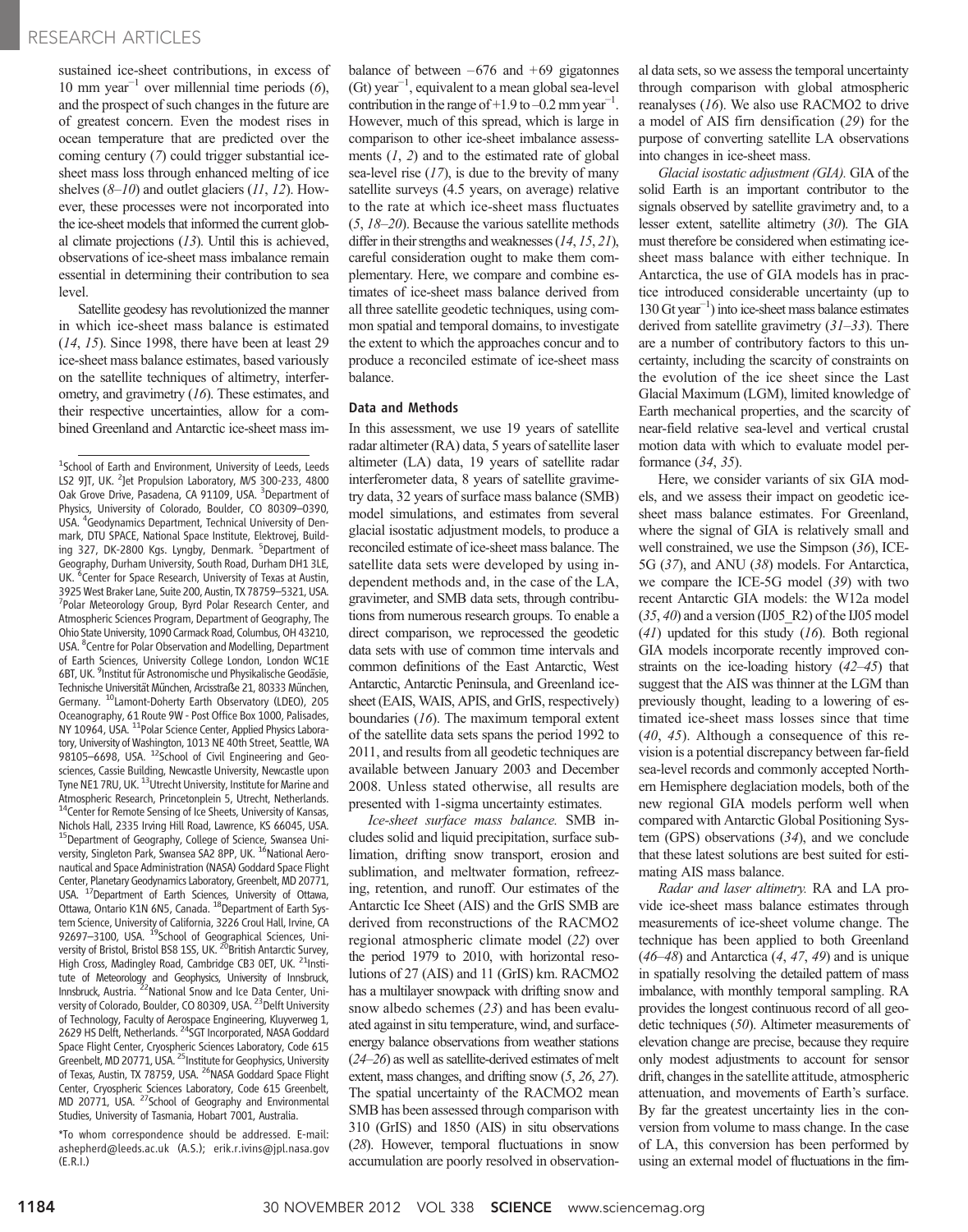### RESEARCH ARTICLES

sustained ice-sheet contributions, in excess of 10 mm year<sup> $-1$ </sup> over millennial time periods (6), and the prospect of such changes in the future are of greatest concern. Even the modest rises in ocean temperature that are predicted over the coming century (7) could trigger substantial icesheet mass loss through enhanced melting of ice shelves  $(8-10)$  and outlet glaciers  $(11, 12)$ . However, these processes were not incorporated into the ice-sheet models that informed the current global climate projections  $(13)$ . Until this is achieved, observations of ice-sheet mass imbalance remain essential in determining their contribution to sea level.

Satellite geodesy has revolutionized the manner in which ice-sheet mass balance is estimated (14, 15). Since 1998, there have been at least 29 ice-sheet mass balance estimates, based variously on the satellite techniques of altimetry, interferometry, and gravimetry (16). These estimates, and their respective uncertainties, allow for a combined Greenland and Antarctic ice-sheet mass im-

\*To whom correspondence should be addressed. E-mail: ashepherd@leeds.ac.uk (A.S.); erik.r.ivins@jpl.nasa.gov (E.R.I.)

balance of between  $-676$  and  $+69$  gigatonnes (Gt) year−<sup>1</sup> , equivalent to a mean global sea-level contribution in the range of +1.9 to –0.2 mm year<sup>-1</sup>. However, much of this spread, which is large in comparison to other ice-sheet imbalance assessments  $(1, 2)$  and to the estimated rate of global sea-level rise  $(17)$ , is due to the brevity of many satellite surveys (4.5 years, on average) relative to the rate at which ice-sheet mass fluctuates (5, 18–20). Because the various satellite methods differ in their strengths and weaknesses (14, 15, 21), careful consideration ought to make them complementary. Here, we compare and combine estimates of ice-sheet mass balance derived from all three satellite geodetic techniques, using common spatial and temporal domains, to investigate the extent to which the approaches concur and to produce a reconciled estimate of ice-sheet mass balance.

### Data and Methods

In this assessment, we use 19 years of satellite radar altimeter (RA) data, 5 years of satellite laser altimeter (LA) data, 19 years of satellite radar interferometer data, 8 years of satellite gravimetry data, 32 years of surface mass balance (SMB) model simulations, and estimates from several glacial isostatic adjustment models, to produce a reconciled estimate of ice-sheet mass balance. The satellite data sets were developed by using independent methods and, in the case of the LA, gravimeter, and SMB data sets, through contributions from numerous research groups. To enable a direct comparison, we reprocessed the geodetic data sets with use of common time intervals and common definitions of the East Antarctic, West Antarctic, Antarctic Peninsula, and Greenland icesheet (EAIS, WAIS, APIS, and GrIS, respectively) boundaries (16). The maximum temporal extent of the satellite data sets spans the period 1992 to 2011, and results from all geodetic techniques are available between January 2003 and December 2008. Unless stated otherwise, all results are presented with 1-sigma uncertainty estimates.

Ice-sheet surface mass balance. SMB includes solid and liquid precipitation, surface sublimation, drifting snow transport, erosion and sublimation, and meltwater formation, refreezing, retention, and runoff. Our estimates of the Antarctic Ice Sheet (AIS) and the GrIS SMB are derived from reconstructions of the RACMO2 regional atmospheric climate model (22) over the period 1979 to 2010, with horizontal resolutions of 27 (AIS) and 11 (GrIS) km. RACMO2 has a multilayer snowpack with drifting snow and snow albedo schemes (23) and has been evaluated against in situ temperature, wind, and surfaceenergy balance observations from weather stations (24–26) as well as satellite-derived estimates of melt extent, mass changes, and drifting snow (5, 26, 27). The spatial uncertainty of the RACMO2 mean SMB has been assessed through comparison with 310 (GrIS) and 1850 (AIS) in situ observations (28). However, temporal fluctuations in snow accumulation are poorly resolved in observational data sets, so we assess the temporal uncertainty through comparison with global atmospheric reanalyses (16). We also use RACMO2 to drive a model of AIS firn densification (29) for the purpose of converting satellite LA observations into changes in ice-sheet mass.

Glacial isostatic adjustment (GIA). GIA of the solid Earth is an important contributor to the signals observed by satellite gravimetry and, to a lesser extent, satellite altimetry (30). The GIA must therefore be considered when estimating icesheet mass balance with either technique. In Antarctica, the use of GIA models has in practice introduced considerable uncertainty (up to 130 Gt year−<sup>1</sup> ) into ice-sheet mass balance estimates derived from satellite gravimetry  $(31-33)$ . There are a number of contributory factors to this uncertainty, including the scarcity of constraints on the evolution of the ice sheet since the Last Glacial Maximum (LGM), limited knowledge of Earth mechanical properties, and the scarcity of near-field relative sea-level and vertical crustal motion data with which to evaluate model performance (34, 35).

Here, we consider variants of six GIA models, and we assess their impact on geodetic icesheet mass balance estimates. For Greenland, where the signal of GIA is relatively small and well constrained, we use the Simpson (36), ICE-5G (37), and ANU (38) models. For Antarctica, we compare the ICE-5G model (39) with two recent Antarctic GIA models: the W12a model  $(35, 40)$  and a version (IJ05 R2) of the IJ05 model  $(41)$  updated for this study  $(16)$ . Both regional GIA models incorporate recently improved constraints on the ice-loading history (42–45) that suggest that the AIS was thinner at the LGM than previously thought, leading to a lowering of estimated ice-sheet mass losses since that time  $(40, 45)$ . Although a consequence of this revision is a potential discrepancy between far-field sea-level records and commonly accepted Northern Hemisphere deglaciation models, both of the new regional GIA models perform well when compared with Antarctic Global Positioning System (GPS) observations (34), and we conclude that these latest solutions are best suited for estimating AIS mass balance.

Radar and laser altimetry. RA and LA provide ice-sheet mass balance estimates through measurements of ice-sheet volume change. The technique has been applied to both Greenland  $(46–48)$  and Antarctica  $(4, 47, 49)$  and is unique in spatially resolving the detailed pattern of mass imbalance, with monthly temporal sampling. RA provides the longest continuous record of all geodetic techniques (50). Altimeter measurements of elevation change are precise, because they require only modest adjustments to account for sensor drift, changes in the satellite attitude, atmospheric attenuation, and movements of Earth's surface. By far the greatest uncertainty lies in the conversion from volume to mass change. In the case of LA, this conversion has been performed by using an external model of fluctuations in the firn-

<sup>&</sup>lt;sup>1</sup>School of Earth and Environment, University of Leeds, Leeds LS2 9JT, UK. <sup>2</sup>Jet Propulsion Laboratory, M/S 300-233, 4800 Oak Grove Drive, Pasadena, CA 91109, USA. <sup>3</sup> Department of Physics, University of Colorado, Boulder, CO 80309–0390, USA. <sup>4</sup> Geodynamics Department, Technical University of Denmark, DTU SPACE, National Space Institute, Elektrovej, Building 327, DK-2800 Kgs. Lyngby, Denmark. <sup>5</sup>Department of Geography, Durham University, South Road, Durham DH1 3LE, UK. <sup>6</sup>Center for Space Research, University of Texas at Austin, 3925 West Braker Lane, Suite 200, Austin, TX 78759–5321, USA. <sup>7</sup> <sup>7</sup>Polar Meteorology Group, Byrd Polar Research Center, and Atmospheric Sciences Program, Department of Geography, The Ohio State University, 1090 Carmack Road, Columbus, OH 43210, USA. <sup>8</sup> Centre for Polar Observation and Modelling, Department of Earth Sciences, University College London, London WC1E 6BT, UK. <sup>9</sup>Institut für Astronomische und Physikalische Geodäsie, Technische Universität München, Arcisstraße 21, 80333 München, Germany. <sup>10</sup>Lamont-Doherty Earth Observatory (LDEO), 205 Oceanography, 61 Route 9W - Post Office Box 1000, Palisades, NY 10964, USA. <sup>11</sup>Polar Science Center, Applied Physics Laboratory, University of Washington, 1013 NE 40th Street, Seattle, WA 98105–6698, USA. <sup>12</sup>School of Civil Engineering and Geosciences, Cassie Building, Newcastle University, Newcastle upon Tyne NE1 7RU, UK. <sup>13</sup>Utrecht University, Institute for Marine and Atmospheric Research, Princetonplein 5, Utrecht, Netherlands. 14Center for Remote Sensing of Ice Sheets, University of Kansas, Nichols Hall, 2335 Irving Hill Road, Lawrence, KS 66045, USA. <sup>15</sup>Department of Geography, College of Science, Swansea University, Singleton Park, Swansea SA2 8PP, UK. <sup>16</sup>National Aeronautical and Space Administration (NASA) Goddard Space Flight Center, Planetary Geodynamics Laboratory, Greenbelt, MD 20771, USA. 17Department of Earth Sciences, University of Ottawa, Ottawa, Ontario K1N 6N5, Canada. <sup>18</sup>Department of Earth System Science, University of California, 3226 Croul Hall, Irvine, CA<br>92697–3100, USA. <sup>19</sup>School of Geographical Sciences, University of Bristol, Bristol BS8 1SS, UK. <sup>20</sup>British Antarctic Survey, High Cross, Madingley Road, Cambridge CB3 0ET, UK. <sup>21</sup>Institute of Meteorology and Geophysics, University of Innsbruck,<br>Innsbruck, Austria. <sup>22</sup>National Snow and Ice Data Center, University of Colorado, Boulder, CO 80309, USA. <sup>23</sup>Delft University of Technology, Faculty of Aerospace Engineering, Kluyverweg 1, 2629 HS Delft, Netherlands. <sup>24</sup>SGT Incorporated, NASA Goddard Space Flight Center, Cryospheric Sciences Laboratory, Code 615 Greenbelt, MD 20771, USA. <sup>25</sup> Institute for Geophysics, University of Texas, Austin, TX 78759, USA. <sup>26</sup>NASA Goddard Space Flight Center, Cryospheric Sciences Laboratory, Code 615 Greenbelt, MD 20771, USA. <sup>27</sup>School of Geography and Environmental Studies, University of Tasmania, Hobart 7001, Australia.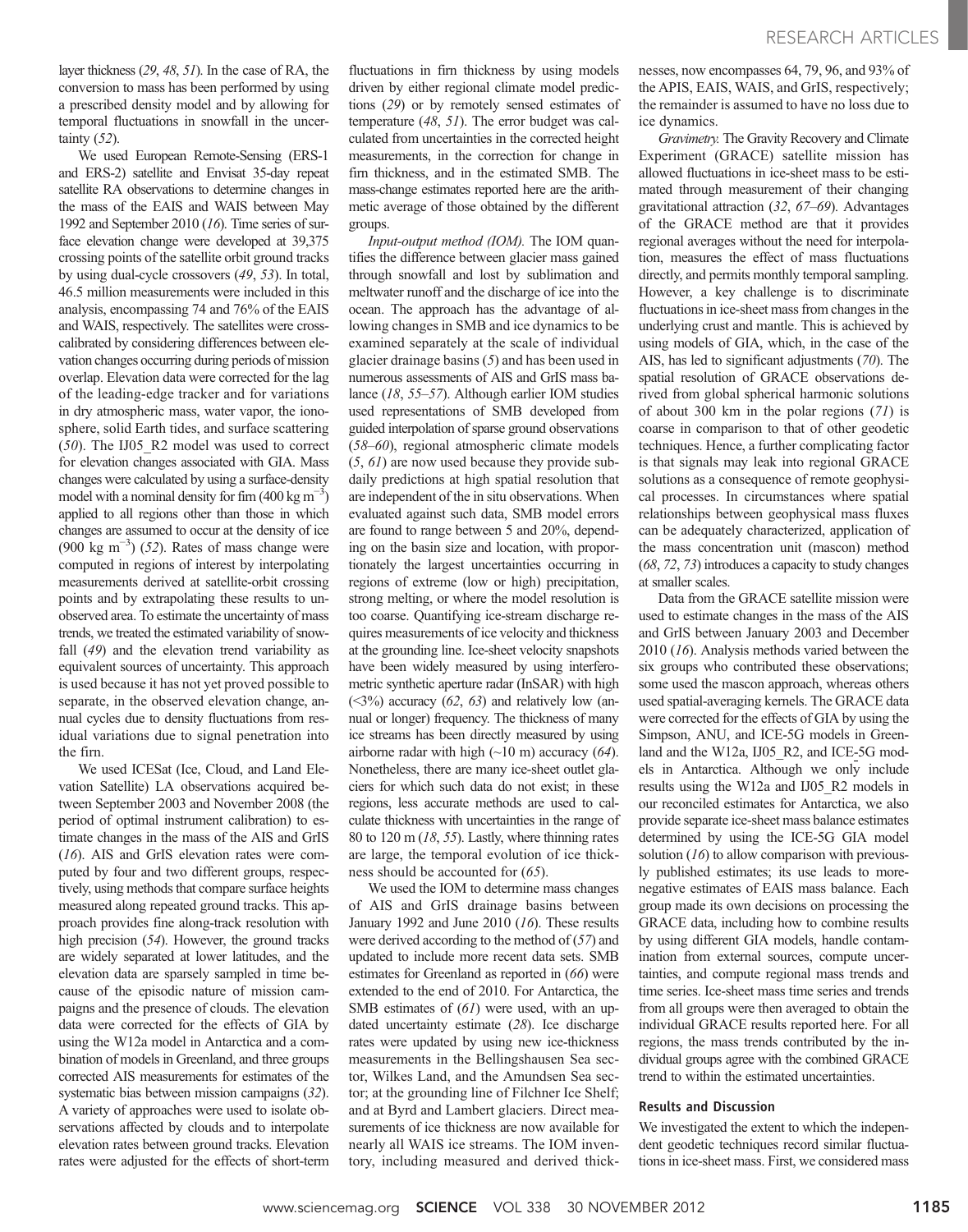layer thickness (29, 48, 51). In the case of RA, the conversion to mass has been performed by using a prescribed density model and by allowing for temporal fluctuations in snowfall in the uncertainty  $(52)$ .

We used European Remote-Sensing (ERS-1 and ERS-2) satellite and Envisat 35-day repeat satellite RA observations to determine changes in the mass of the EAIS and WAIS between May 1992 and September 2010 (16). Time series of surface elevation change were developed at 39,375 crossing points of the satellite orbit ground tracks by using dual-cycle crossovers (49, 53). In total, 46.5 million measurements were included in this analysis, encompassing 74 and 76% of the EAIS and WAIS, respectively. The satellites were crosscalibrated by considering differences between elevation changes occurring during periods of mission overlap. Elevation data were corrected for the lag of the leading-edge tracker and for variations in dry atmospheric mass, water vapor, the ionosphere, solid Earth tides, and surface scattering (50). The IJ05\_R2 model was used to correct for elevation changes associated with GIA. Mass changes were calculated by using a surface-density model with a nominal density for firm  $(400 \text{ kg m}^{-3})$ applied to all regions other than those in which changes are assumed to occur at the density of ice  $(900 \text{ kg m}^{-3})$  (52). Rates of mass change were computed in regions of interest by interpolating measurements derived at satellite-orbit crossing points and by extrapolating these results to unobserved area. To estimate the uncertainty of mass trends, we treated the estimated variability of snowfall (49) and the elevation trend variability as equivalent sources of uncertainty. This approach is used because it has not yet proved possible to separate, in the observed elevation change, annual cycles due to density fluctuations from residual variations due to signal penetration into the firn.

We used ICESat (Ice, Cloud, and Land Elevation Satellite) LA observations acquired between September 2003 and November 2008 (the period of optimal instrument calibration) to estimate changes in the mass of the AIS and GrIS (16). AIS and GrIS elevation rates were computed by four and two different groups, respectively, using methods that compare surface heights measured along repeated ground tracks. This approach provides fine along-track resolution with high precision (54). However, the ground tracks are widely separated at lower latitudes, and the elevation data are sparsely sampled in time because of the episodic nature of mission campaigns and the presence of clouds. The elevation data were corrected for the effects of GIA by using the W12a model in Antarctica and a combination of models in Greenland, and three groups corrected AIS measurements for estimates of the systematic bias between mission campaigns (32). A variety of approaches were used to isolate observations affected by clouds and to interpolate elevation rates between ground tracks. Elevation rates were adjusted for the effects of short-term

fluctuations in firn thickness by using models driven by either regional climate model predictions (29) or by remotely sensed estimates of temperature (48, 51). The error budget was calculated from uncertainties in the corrected height measurements, in the correction for change in firn thickness, and in the estimated SMB. The mass-change estimates reported here are the arithmetic average of those obtained by the different groups.

Input-output method (IOM). The IOM quantifies the difference between glacier mass gained through snowfall and lost by sublimation and meltwater runoff and the discharge of ice into the ocean. The approach has the advantage of allowing changes in SMB and ice dynamics to be examined separately at the scale of individual glacier drainage basins (5) and has been used in numerous assessments of AIS and GrIS mass balance (18, 55–57). Although earlier IOM studies used representations of SMB developed from guided interpolation of sparse ground observations (58–60), regional atmospheric climate models (5, 61) are now used because they provide subdaily predictions at high spatial resolution that are independent of the in situ observations. When evaluated against such data, SMB model errors are found to range between 5 and 20%, depending on the basin size and location, with proportionately the largest uncertainties occurring in regions of extreme (low or high) precipitation, strong melting, or where the model resolution is too coarse. Quantifying ice-stream discharge requires measurements of ice velocity and thickness at the grounding line. Ice-sheet velocity snapshots have been widely measured by using interferometric synthetic aperture radar (InSAR) with high  $(\leq3\%)$  accuracy  $(62, 63)$  and relatively low (annual or longer) frequency. The thickness of many ice streams has been directly measured by using airborne radar with high  $(\sim 10 \text{ m})$  accuracy (64). Nonetheless, there are many ice-sheet outlet glaciers for which such data do not exist; in these regions, less accurate methods are used to calculate thickness with uncertainties in the range of 80 to 120 m  $(18, 55)$ . Lastly, where thinning rates are large, the temporal evolution of ice thickness should be accounted for (65).

We used the IOM to determine mass changes of AIS and GrIS drainage basins between January 1992 and June 2010 (16). These results were derived according to the method of  $(57)$  and updated to include more recent data sets. SMB estimates for Greenland as reported in (66) were extended to the end of 2010. For Antarctica, the SMB estimates of  $(61)$  were used, with an updated uncertainty estimate (28). Ice discharge rates were updated by using new ice-thickness measurements in the Bellingshausen Sea sector, Wilkes Land, and the Amundsen Sea sector; at the grounding line of Filchner Ice Shelf; and at Byrd and Lambert glaciers. Direct measurements of ice thickness are now available for nearly all WAIS ice streams. The IOM inventory, including measured and derived thicknesses, now encompasses 64, 79, 96, and 93% of the APIS, EAIS, WAIS, and GrIS, respectively; the remainder is assumed to have no loss due to ice dynamics.

Gravimetry. The Gravity Recovery and Climate Experiment (GRACE) satellite mission has allowed fluctuations in ice-sheet mass to be estimated through measurement of their changing gravitational attraction (32, 67–69). Advantages of the GRACE method are that it provides regional averages without the need for interpolation, measures the effect of mass fluctuations directly, and permits monthly temporal sampling. However, a key challenge is to discriminate fluctuations in ice-sheet mass from changes in the underlying crust and mantle. This is achieved by using models of GIA, which, in the case of the AIS, has led to significant adjustments (70). The spatial resolution of GRACE observations derived from global spherical harmonic solutions of about 300 km in the polar regions (71) is coarse in comparison to that of other geodetic techniques. Hence, a further complicating factor is that signals may leak into regional GRACE solutions as a consequence of remote geophysical processes. In circumstances where spatial relationships between geophysical mass fluxes can be adequately characterized, application of the mass concentration unit (mascon) method (68, 72, 73) introduces a capacity to study changes at smaller scales.

Data from the GRACE satellite mission were used to estimate changes in the mass of the AIS and GrIS between January 2003 and December 2010 (16). Analysis methods varied between the six groups who contributed these observations; some used the mascon approach, whereas others used spatial-averaging kernels. The GRACE data were corrected for the effects of GIA by using the Simpson, ANU, and ICE-5G models in Greenland and the W12a, IJ05 R2, and ICE-5G models in Antarctica. Although we only include results using the W12a and IJ05\_R2 models in our reconciled estimates for Antarctica, we also provide separate ice-sheet mass balance estimates determined by using the ICE-5G GIA model solution  $(16)$  to allow comparison with previously published estimates; its use leads to morenegative estimates of EAIS mass balance. Each group made its own decisions on processing the GRACE data, including how to combine results by using different GIA models, handle contamination from external sources, compute uncertainties, and compute regional mass trends and time series. Ice-sheet mass time series and trends from all groups were then averaged to obtain the individual GRACE results reported here. For all regions, the mass trends contributed by the individual groups agree with the combined GRACE trend to within the estimated uncertainties.

#### Results and Discussion

We investigated the extent to which the independent geodetic techniques record similar fluctuations in ice-sheet mass. First, we considered mass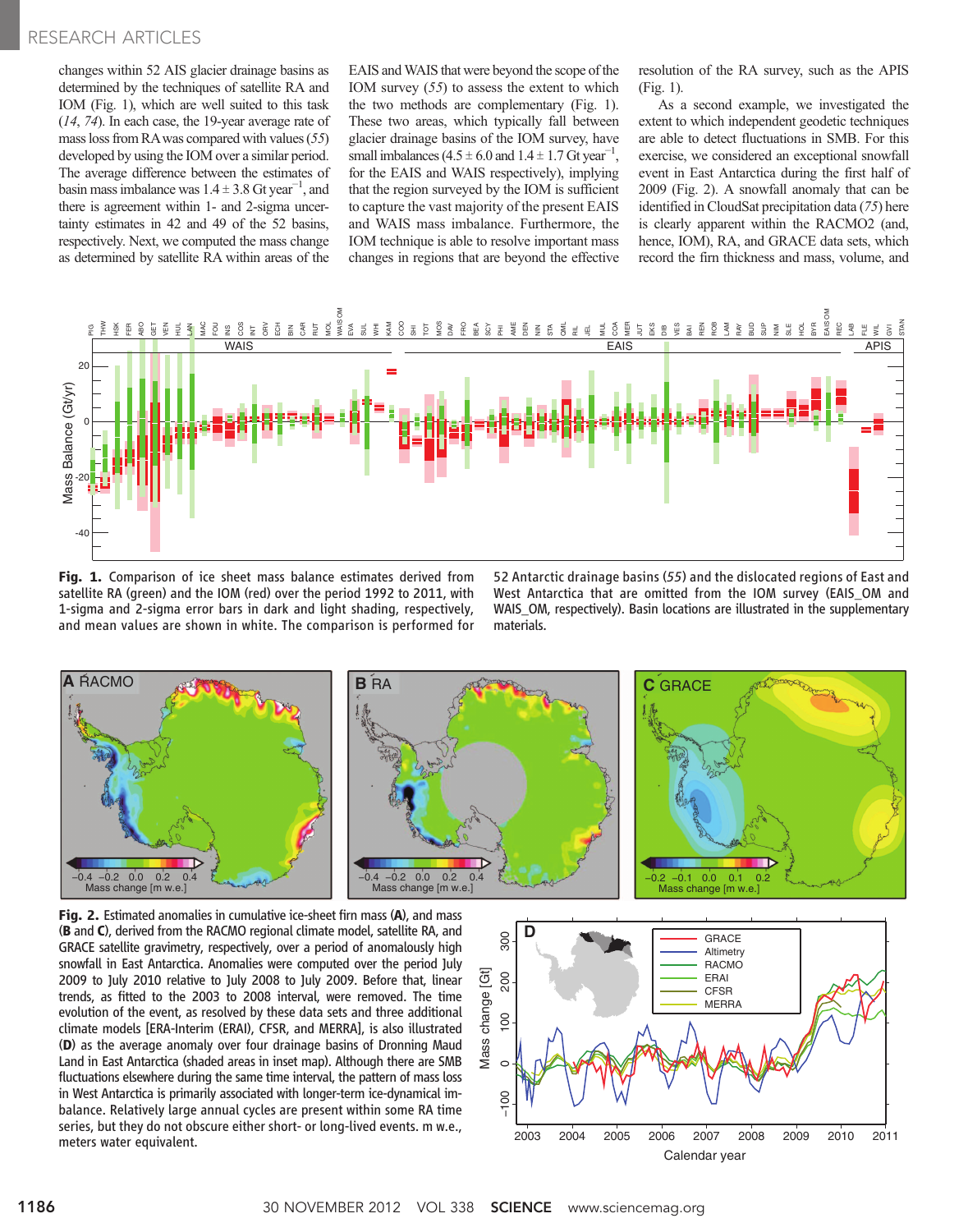## RESEARCH ARTICLES

changes within 52 AIS glacier drainage basins as determined by the techniques of satellite RA and IOM (Fig. 1), which are well suited to this task (14, 74). In each case, the 19-year average rate of mass loss from RAwas compared with values (55) developed by using the IOM over a similar period. The average difference between the estimates of basin mass imbalance was  $1.4 \pm 3.8$  Gt year<sup>-1</sup>, and there is agreement within 1- and 2-sigma uncertainty estimates in 42 and 49 of the 52 basins, respectively. Next, we computed the mass change as determined by satellite RA within areas of the

EAIS and WAIS that were beyond the scope of the IOM survey  $(55)$  to assess the extent to which the two methods are complementary (Fig. 1). These two areas, which typically fall between glacier drainage basins of the IOM survey, have small imbalances ( $4.5 \pm 6.0$  and  $1.4 \pm 1.7$  Gt year<sup>-1</sup>, for the EAIS and WAIS respectively), implying that the region surveyed by the IOM is sufficient to capture the vast majority of the present EAIS and WAIS mass imbalance. Furthermore, the IOM technique is able to resolve important mass changes in regions that are beyond the effective

resolution of the RA survey, such as the APIS (Fig. 1).

As a second example, we investigated the extent to which independent geodetic techniques are able to detect fluctuations in SMB. For this exercise, we considered an exceptional snowfall event in East Antarctica during the first half of 2009 (Fig. 2). A snowfall anomaly that can be identified in CloudSat precipitation data (75) here is clearly apparent within the RACMO2 (and, hence, IOM), RA, and GRACE data sets, which record the firn thickness and mass, volume, and



Fig. 1. Comparison of ice sheet mass balance estimates derived from satellite RA (green) and the IOM (red) over the period 1992 to 2011, with 1-sigma and 2-sigma error bars in dark and light shading, respectively, and mean values are shown in white. The comparison is performed for

52 Antarctic drainage basins (55) and the dislocated regions of East and West Antarctica that are omitted from the IOM survey (EAIS\_OM and WAIS\_OM, respectively). Basin locations are illustrated in the supplementary materials.



Fig. 2. Estimated anomalies in cumulative ice-sheet firn mass (A), and mass (B and C), derived from the RACMO regional climate model, satellite RA, and GRACE satellite gravimetry, respectively, over a period of anomalously high snowfall in East Antarctica. Anomalies were computed over the period July 2009 to July 2010 relative to July 2008 to July 2009. Before that, linear trends, as fitted to the 2003 to 2008 interval, were removed. The time evolution of the event, as resolved by these data sets and three additional climate models [ERA-Interim (ERAI), CFSR, and MERRA], is also illustrated (D) as the average anomaly over four drainage basins of Dronning Maud Land in East Antarctica (shaded areas in inset map). Although there are SMB fluctuations elsewhere during the same time interval, the pattern of mass loss in West Antarctica is primarily associated with longer-term ice-dynamical imbalance. Relatively large annual cycles are present within some RA time series, but they do not obscure either short- or long-lived events. m w.e., meters water equivalent.

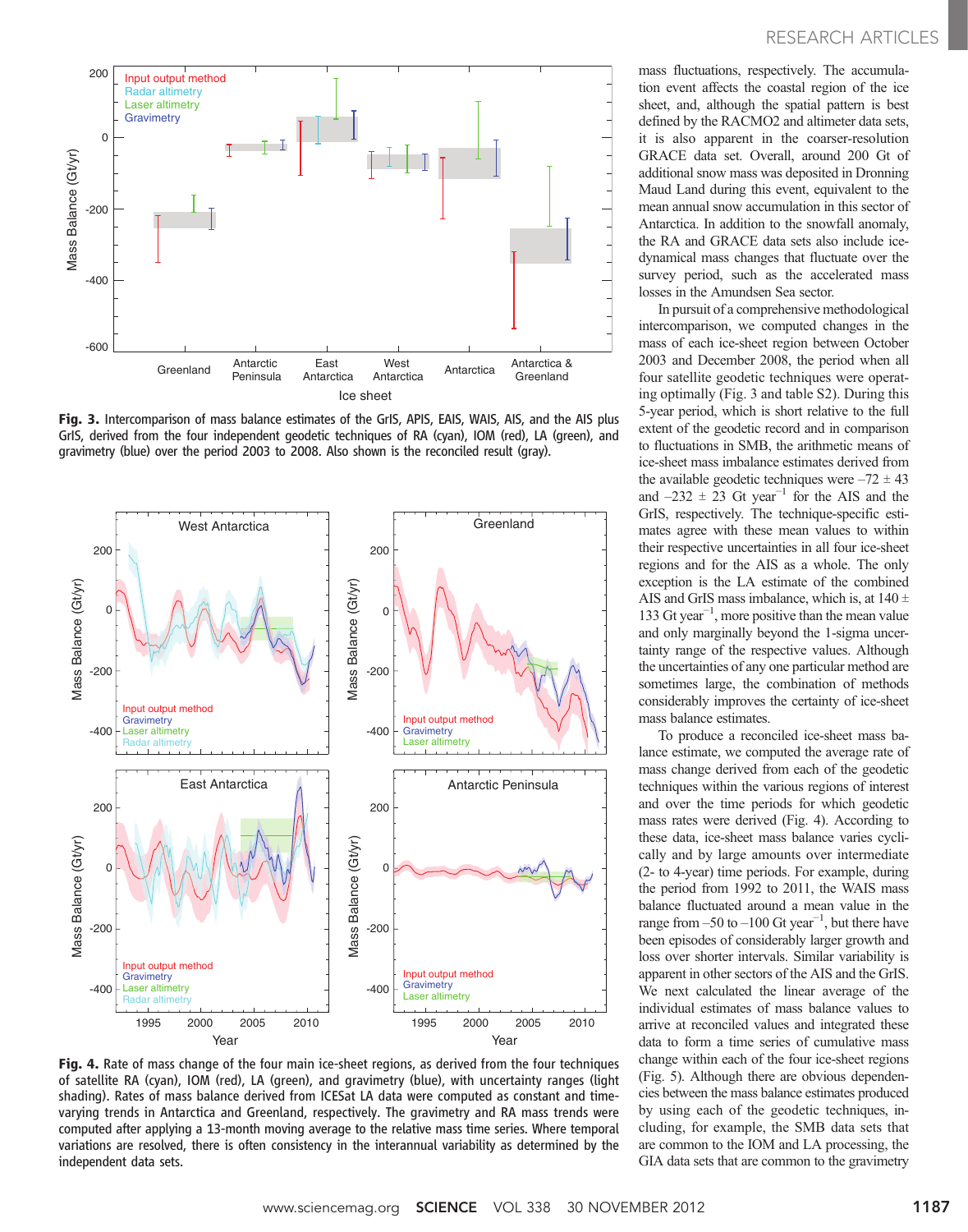

Fig. 3. Intercomparison of mass balance estimates of the GrIS, APIS, EAIS, WAIS, AIS, and the AIS plus GrIS, derived from the four independent geodetic techniques of RA (cyan), IOM (red), LA (green), and gravimetry (blue) over the period 2003 to 2008. Also shown is the reconciled result (gray).



Fig. 4. Rate of mass change of the four main ice-sheet regions, as derived from the four techniques of satellite RA (cyan), IOM (red), LA (green), and gravimetry (blue), with uncertainty ranges (light shading). Rates of mass balance derived from ICESat LA data were computed as constant and timevarying trends in Antarctica and Greenland, respectively. The gravimetry and RA mass trends were computed after applying a 13-month moving average to the relative mass time series. Where temporal variations are resolved, there is often consistency in the interannual variability as determined by the independent data sets.

mass fluctuations, respectively. The accumulation event affects the coastal region of the ice sheet, and, although the spatial pattern is best defined by the RACMO2 and altimeter data sets, it is also apparent in the coarser-resolution GRACE data set. Overall, around 200 Gt of additional snow mass was deposited in Dronning Maud Land during this event, equivalent to the mean annual snow accumulation in this sector of Antarctica. In addition to the snowfall anomaly, the RA and GRACE data sets also include icedynamical mass changes that fluctuate over the survey period, such as the accelerated mass losses in the Amundsen Sea sector.

In pursuit of a comprehensive methodological intercomparison, we computed changes in the mass of each ice-sheet region between October 2003 and December 2008, the period when all four satellite geodetic techniques were operating optimally (Fig. 3 and table S2). During this 5-year period, which is short relative to the full extent of the geodetic record and in comparison to fluctuations in SMB, the arithmetic means of ice-sheet mass imbalance estimates derived from the available geodetic techniques were  $-72 \pm 43$ and  $-232 \pm 23$  Gt year<sup>-1</sup> for the AIS and the GrIS, respectively. The technique-specific estimates agree with these mean values to within their respective uncertainties in all four ice-sheet regions and for the AIS as a whole. The only exception is the LA estimate of the combined AIS and GrIS mass imbalance, which is, at  $140 \pm$ 133 Gt year−<sup>1</sup> , more positive than the mean value and only marginally beyond the 1-sigma uncertainty range of the respective values. Although the uncertainties of any one particular method are sometimes large, the combination of methods considerably improves the certainty of ice-sheet mass balance estimates.

To produce a reconciled ice-sheet mass balance estimate, we computed the average rate of mass change derived from each of the geodetic techniques within the various regions of interest and over the time periods for which geodetic mass rates were derived (Fig. 4). According to these data, ice-sheet mass balance varies cyclically and by large amounts over intermediate (2- to 4-year) time periods. For example, during the period from 1992 to 2011, the WAIS mass balance fluctuated around a mean value in the range from  $-50$  to  $-100$  Gt year<sup>-1</sup>, but there have been episodes of considerably larger growth and loss over shorter intervals. Similar variability is apparent in other sectors of the AIS and the GrIS. We next calculated the linear average of the individual estimates of mass balance values to arrive at reconciled values and integrated these data to form a time series of cumulative mass change within each of the four ice-sheet regions (Fig. 5). Although there are obvious dependencies between the mass balance estimates produced by using each of the geodetic techniques, including, for example, the SMB data sets that are common to the IOM and LA processing, the GIA data sets that are common to the gravimetry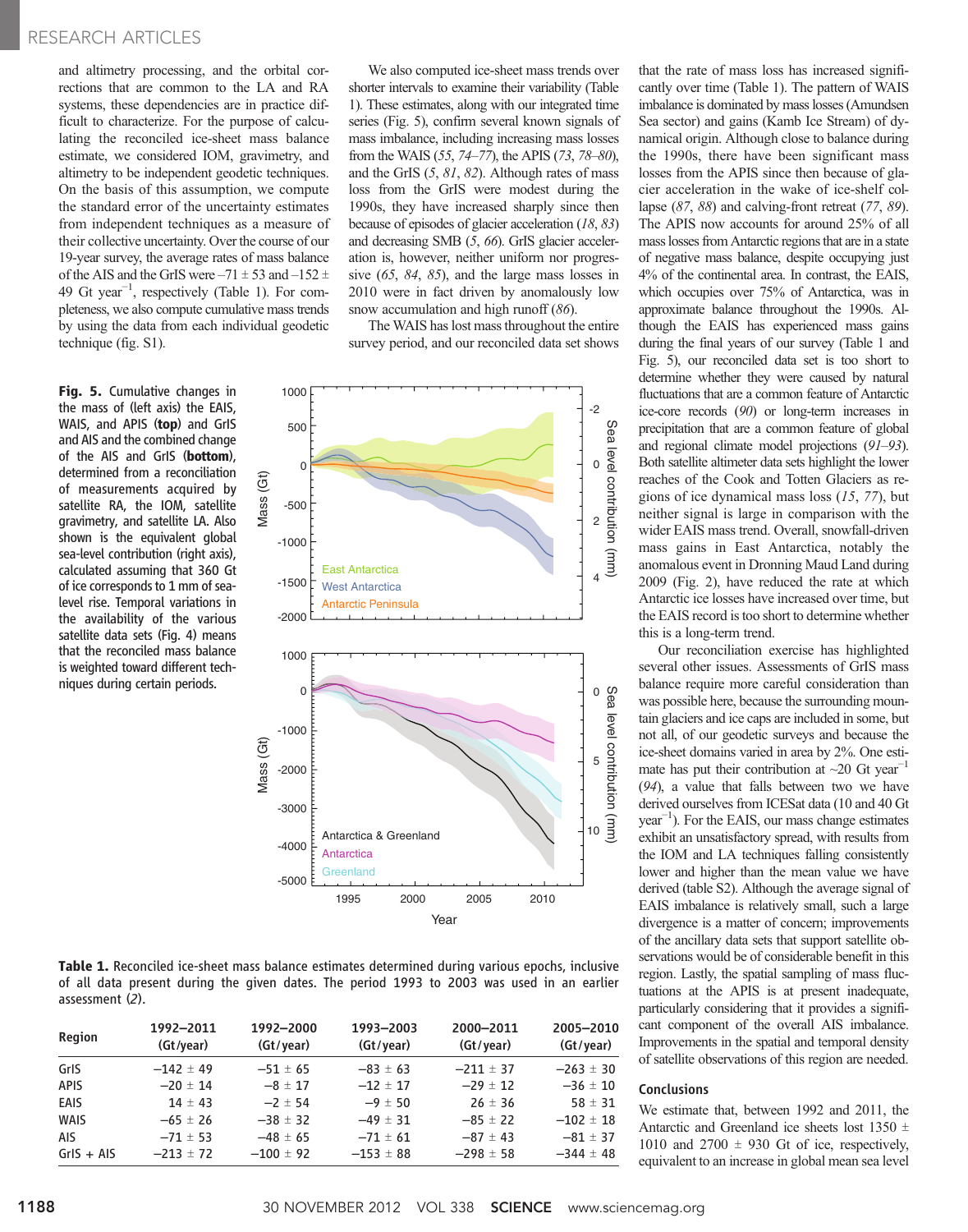### RESEARCH ARTICLES

and altimetry processing, and the orbital corrections that are common to the LA and RA systems, these dependencies are in practice difficult to characterize. For the purpose of calculating the reconciled ice-sheet mass balance estimate, we considered IOM, gravimetry, and altimetry to be independent geodetic techniques. On the basis of this assumption, we compute the standard error of the uncertainty estimates from independent techniques as a measure of their collective uncertainty. Over the course of our 19-year survey, the average rates of mass balance of the AIS and the GrIS were  $-71 \pm 53$  and  $-152 \pm 7$ 49 Gt year−<sup>1</sup> , respectively (Table 1). For completeness, we also compute cumulative mass trends by using the data from each individual geodetic technique (fig. S1).

Fig. 5. Cumulative changes in the mass of (left axis) the EAIS, WAIS, and APIS (top) and GrIS and AIS and the combined change of the AIS and GrIS (bottom), determined from a reconciliation of measurements acquired by satellite RA, the IOM, satellite gravimetry, and satellite LA. Also shown is the equivalent global sea-level contribution (right axis), calculated assuming that 360 Gt of ice corresponds to 1 mm of sealevel rise. Temporal variations in the availability of the various satellite data sets (Fig. 4) means that the reconciled mass balance is weighted toward different techniques during certain periods.

We also computed ice-sheet mass trends over shorter intervals to examine their variability (Table 1). These estimates, along with our integrated time series (Fig. 5), confirm several known signals of mass imbalance, including increasing mass losses from the WAIS (55, 74–77), the APIS (73, 78–80), and the GrIS (5, 81, 82). Although rates of mass loss from the GrIS were modest during the 1990s, they have increased sharply since then because of episodes of glacier acceleration (18, 83) and decreasing SMB (5, 66). GrIS glacier acceleration is, however, neither uniform nor progressive (65, 84, 85), and the large mass losses in 2010 were in fact driven by anomalously low snow accumulation and high runoff (86).

The WAIS has lost mass throughout the entire survey period, and our reconciled data set shows



Table 1. Reconciled ice-sheet mass balance estimates determined during various epochs, inclusive of all data present during the given dates. The period 1993 to 2003 was used in an earlier assessment (2).

| <b>Region</b> | 1992-2011<br>(Gt/year) | 1992-2000<br>(Gt/year) | 1993-2003<br>(Gt/year) | 2000-2011<br>(Gt/year) | 2005-2010<br>(Gt/year) |
|---------------|------------------------|------------------------|------------------------|------------------------|------------------------|
| GrIS          | $-142 \pm 49$          | $-51 \pm 65$           | $-83 \pm 63$           | $-211 \pm 37$          | $-263 \pm 30$          |
| <b>APIS</b>   | $-20 \pm 14$           | $-8 \pm 17$            | $-12 \pm 17$           | $-29 \pm 12$           | $-36 \pm 10$           |
| EAIS          | $14 \pm 43$            | $-2 \pm 54$            | $-9 \pm 50$            | $26 \pm 36$            | $58 \pm 31$            |
| <b>WAIS</b>   | $-65 \pm 26$           | $-38 \pm 32$           | $-49 \pm 31$           | $-85 \pm 22$           | $-102 \pm 18$          |
| <b>AIS</b>    | $-71 \pm 53$           | $-48 \pm 65$           | $-71 \pm 61$           | $-87 \pm 43$           | $-81 \pm 37$           |
| $GrIS + AIS$  | $-213 \pm 72$          | $-100 \pm 92$          | $-153 \pm 88$          | $-298 \pm 58$          | $-344 \pm 48$          |

that the rate of mass loss has increased significantly over time (Table 1). The pattern of WAIS imbalance is dominated by mass losses (Amundsen Sea sector) and gains (Kamb Ice Stream) of dynamical origin. Although close to balance during the 1990s, there have been significant mass losses from the APIS since then because of glacier acceleration in the wake of ice-shelf collapse  $(87, 88)$  and calving-front retreat  $(77, 89)$ . The APIS now accounts for around 25% of all mass losses from Antarctic regions that are in a state of negative mass balance, despite occupying just 4% of the continental area. In contrast, the EAIS, which occupies over 75% of Antarctica, was in approximate balance throughout the 1990s. Although the EAIS has experienced mass gains during the final years of our survey (Table 1 and Fig. 5), our reconciled data set is too short to determine whether they were caused by natural fluctuations that are a common feature of Antarctic ice-core records (90) or long-term increases in precipitation that are a common feature of global and regional climate model projections (91–93). Both satellite altimeter data sets highlight the lower reaches of the Cook and Totten Glaciers as regions of ice dynamical mass loss (15, 77), but neither signal is large in comparison with the wider EAIS mass trend. Overall, snowfall-driven mass gains in East Antarctica, notably the anomalous event in Dronning Maud Land during 2009 (Fig. 2), have reduced the rate at which Antarctic ice losses have increased over time, but the EAIS record is too short to determine whether this is a long-term trend.

Our reconciliation exercise has highlighted several other issues. Assessments of GrIS mass balance require more careful consideration than was possible here, because the surrounding mountain glaciers and ice caps are included in some, but not all, of our geodetic surveys and because the ice-sheet domains varied in area by 2%. One estimate has put their contribution at  $\sim$ 20 Gt year<sup>-1</sup> (94), a value that falls between two we have derived ourselves from ICESat data (10 and 40 Gt year−<sup>1</sup> ). For the EAIS, our mass change estimates exhibit an unsatisfactory spread, with results from the IOM and LA techniques falling consistently lower and higher than the mean value we have derived (table S2). Although the average signal of EAIS imbalance is relatively small, such a large divergence is a matter of concern; improvements of the ancillary data sets that support satellite observations would be of considerable benefit in this region. Lastly, the spatial sampling of mass fluctuations at the APIS is at present inadequate, particularly considering that it provides a significant component of the overall AIS imbalance. Improvements in the spatial and temporal density of satellite observations of this region are needed.

### **Conclusions**

We estimate that, between 1992 and 2011, the Antarctic and Greenland ice sheets lost 1350  $\pm$ 1010 and 2700  $\pm$  930 Gt of ice, respectively, equivalent to an increase in global mean sea level